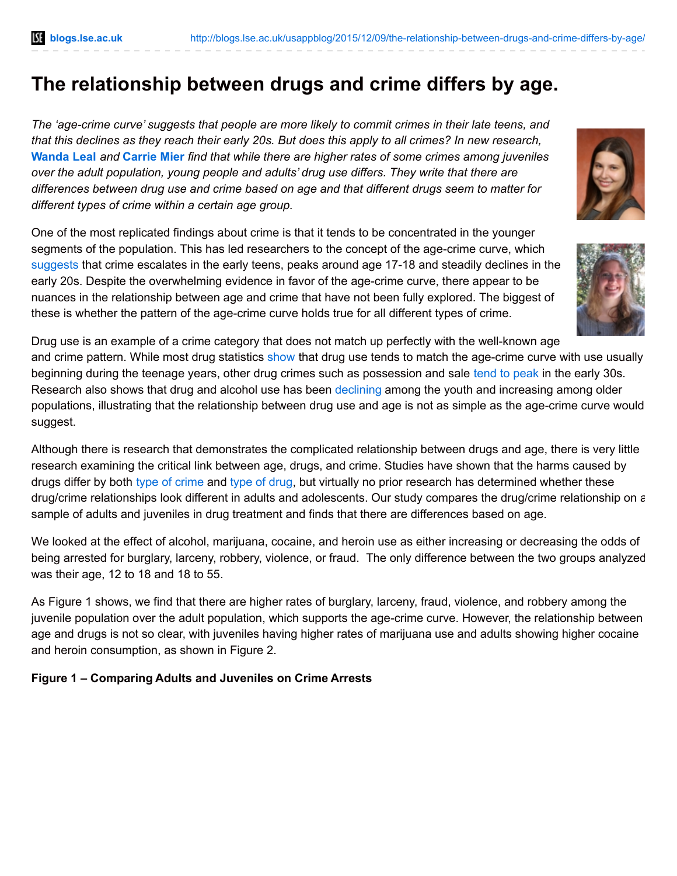# **The relationship between drugs and crime differs by age.**

*The 'age-crime curve' suggests that people are more likely to commit crimes in their late teens, and* that this declines as they reach their early 20s. But does this apply to all crimes? In new research, **[Wanda](http://wp.me/p3I2YF-4zs#Author) Leal** *and* **[Carrie](http://wp.me/p3I2YF-4zs#Author) Mier** *find that while there are higher rates of some crimes among juveniles over the adult population, young people and adults' drug use differs. They write that there are differences between drug use and crime based on age and that different drugs seem to matter for different types of crime within a certain age group.*

One of the most replicated findings about crime is that it tends to be concentrated in the younger segments of the population. This has led researchers to the concept of the age-crime curve, which [suggests](http://www.sagepub.com/sites/default/files/upm-binaries/60294_Chapter_23.pdf) that crime escalates in the early teens, peaks around age 17-18 and steadily declines in the early 20s. Despite the overwhelming evidence in favor of the age-crime curve, there appear to be nuances in the relationship between age and crime that have not been fully explored. The biggest of these is whether the pattern of the age-crime curve holds true for all different types of crime.





Drug use is an example of a crime category that does not match up perfectly with the well-known age

and crime pattern. While most drug statistics [show](http://www.drugabuse.gov/publications/drugfacts/high-school-youth-trends) that drug use tends to match the age-crime curve with use usually beginning during the teenage years, other drug crimes such as possession and sale tend to [peak](http://www.sagepub.com/sites/default/files/upm-binaries/60294_Chapter_23.pdf) in the early 30s. Research also shows that drug and alcohol use has been [declining](http://www.drugabuse.gov/publications/drugfacts/nationwide-trends) among the youth and increasing among older populations, illustrating that the relationship between drug use and age is not as simple as the age-crime curve would suggest.

Although there is research that demonstrates the complicated relationship between drugs and age, there is very little research examining the critical link between age, drugs, and crime. Studies have shown that the harms caused by drugs differ by both type of [crime](http://www.bjs.gov/content/dcf/duc.cfm) and type of [drug](http://www.niaaa.nih.gov/alcohol-health/overview-alcohol-consumption/alcohol-facts-and-statistics), but virtually no prior research has determined whether these drug/crime relationships look different in adults and adolescents. Our study compares the drug/crime relationship on a sample of adults and juveniles in drug treatment and finds that there are differences based on age.

We looked at the effect of alcohol, marijuana, cocaine, and heroin use as either increasing or decreasing the odds of being arrested for burglary, larceny, robbery, violence, or fraud. The only difference between the two groups analyzed was their age, 12 to 18 and 18 to 55.

As Figure 1 shows, we find that there are higher rates of burglary, larceny, fraud, violence, and robbery among the juvenile population over the adult population, which supports the age-crime curve. However, the relationship between age and drugs is not so clear, with juveniles having higher rates of marijuana use and adults showing higher cocaine and heroin consumption, as shown in Figure 2.

# **Figure 1 – Comparing Adults and Juveniles on Crime Arrests**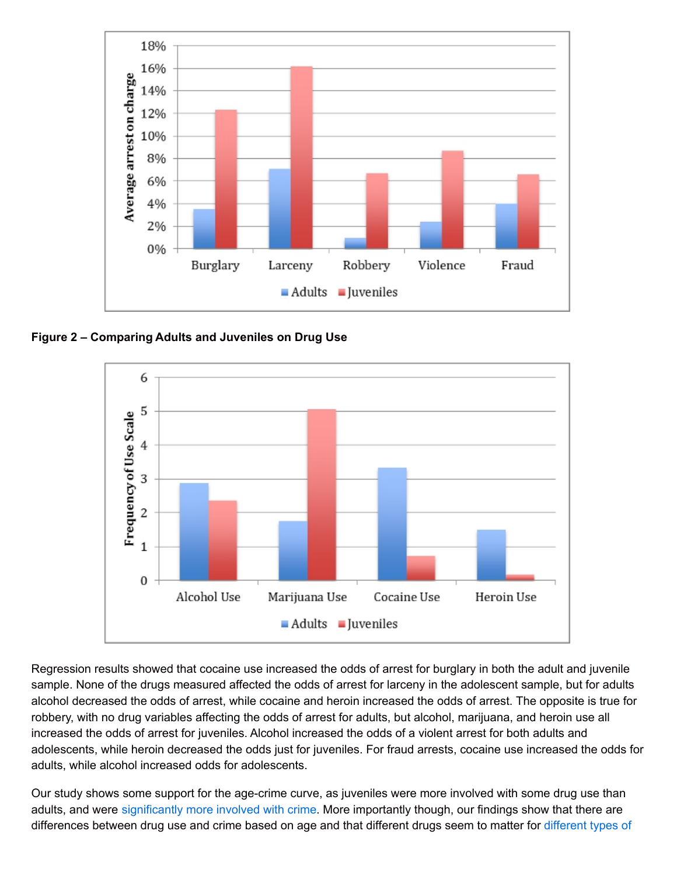

**Figure 2 – Comparing Adults and Juveniles on Drug Use**



Regression results showed that cocaine use increased the odds of arrest for burglary in both the adult and juvenile sample. None of the drugs measured affected the odds of arrest for larceny in the adolescent sample, but for adults alcohol decreased the odds of arrest, while cocaine and heroin increased the odds of arrest. The opposite is true for robbery, with no drug variables affecting the odds of arrest for adults, but alcohol, marijuana, and heroin use all increased the odds of arrest for juveniles. Alcohol increased the odds of a violent arrest for both adults and adolescents, while heroin decreased the odds just for juveniles. For fraud arrests, cocaine use increased the odds for adults, while alcohol increased odds for adolescents.

Our study shows some support for the age-crime curve, as juveniles were more involved with some drug use than adults, and were [significantly](http://www.bjs.gov/content/pub/pdf/aus9010.pdf) more involved with crime. More importantly though, our findings show that there are [differences](https://ncadd.org/about-addiction/alcohol-drugs-and-crime) between drug use and crime based on age and that different drugs seem to matter for different types of